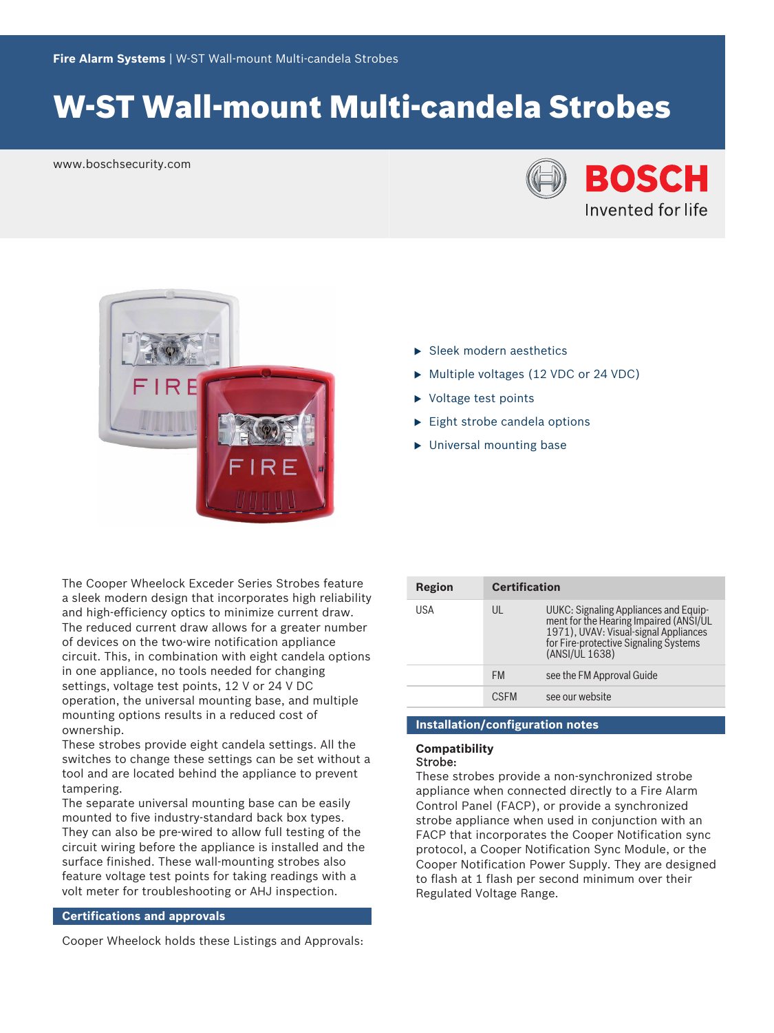# W‑ST Wall‑mount Multi‑candela Strobes

www.boschsecurity.com





- $\blacktriangleright$  Sleek modern aesthetics
- $\triangleright$  Multiple voltages (12 VDC or 24 VDC)
- $\triangleright$  Voltage test points
- $\blacktriangleright$  Eight strobe candela options
- $\blacktriangleright$  Universal mounting base

The Cooper Wheelock Exceder Series Strobes feature a sleek modern design that incorporates high reliability and high-efficiency optics to minimize current draw. The reduced current draw allows for a greater number of devices on the two‑wire notification appliance circuit. This, in combination with eight candela options in one appliance, no tools needed for changing settings, voltage test points, 12 V or 24 V DC operation, the universal mounting base, and multiple mounting options results in a reduced cost of ownership.

These strobes provide eight candela settings. All the switches to change these settings can be set without a tool and are located behind the appliance to prevent tampering.

The separate universal mounting base can be easily mounted to five industry‑standard back box types. They can also be pre-wired to allow full testing of the circuit wiring before the appliance is installed and the surface finished. These wall-mounting strobes also feature voltage test points for taking readings with a volt meter for troubleshooting or AHJ inspection.

#### **Certifications and approvals**

Cooper Wheelock holds these Listings and Approvals:

| Region | <b>Certification</b> |                                                                                                                                                                                     |
|--------|----------------------|-------------------------------------------------------------------------------------------------------------------------------------------------------------------------------------|
| USA    | UL                   | UUKC: Signaling Appliances and Equip-<br>ment for the Hearing Impaired (ANSI/UL<br>1971), UVAV: Visual-signal Appliances<br>for Fire-protective Signaling Systems<br>(ANSI/UL 1638) |
|        | <b>FM</b>            | see the FM Approval Guide                                                                                                                                                           |
|        | <b>CSEM</b>          | see our website                                                                                                                                                                     |

## **Installation/configuration notes**

#### **Compatibility** Strobe:

These strobes provide a non-synchronized strobe appliance when connected directly to a Fire Alarm Control Panel (FACP), or provide a synchronized strobe appliance when used in conjunction with an FACP that incorporates the Cooper Notification sync protocol, a Cooper Notification Sync Module, or the Cooper Notification Power Supply. They are designed to flash at 1 flash per second minimum over their Regulated Voltage Range.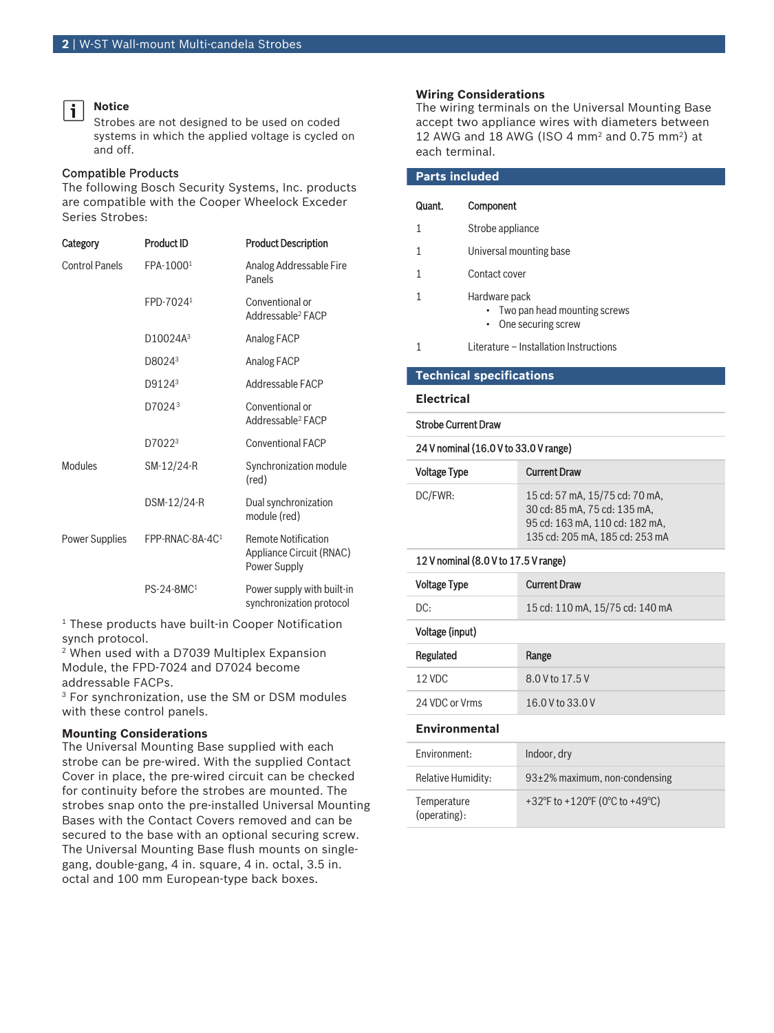#### **Notice**

i

Strobes are not designed to be used on coded systems in which the applied voltage is cycled on and off.

#### Compatible Products

The following Bosch Security Systems, Inc. products are compatible with the Cooper Wheelock Exceder Series Strobes:

| Category              | <b>Product ID</b>      | <b>Product Description</b>                                             |
|-----------------------|------------------------|------------------------------------------------------------------------|
| <b>Control Panels</b> | FPA-10001              | Analog Addressable Fire<br>Panels                                      |
|                       | FPD-7024 <sup>1</sup>  | Conventional or<br>Addressable <sup>2</sup> FACP                       |
|                       | D10024A <sup>3</sup>   | Analog FACP                                                            |
|                       | D8024 <sup>3</sup>     | Analog FACP                                                            |
|                       | D9124 <sup>3</sup>     | Addressable FACP                                                       |
|                       | D7024 <sup>3</sup>     | Conventional or<br>Addressable <sup>2</sup> FACP                       |
|                       | D7022 <sup>3</sup>     | <b>Conventional FACP</b>                                               |
| Modules               | SM-12/24-R             | Synchronization module<br>(red)                                        |
|                       | DSM-12/24-R            | Dual synchronization<br>module (red)                                   |
| Power Supplies        | FPP-RNAC-8A-4C1        | <b>Remote Notification</b><br>Appliance Circuit (RNAC)<br>Power Supply |
|                       | PS-24-8MC <sup>1</sup> | Power supply with built-in<br>synchronization protocol                 |

1 These products have built‑in Cooper Notification synch protocol.

2 When used with a D7039 Multiplex Expansion Module, the FPD‑7024 and D7024 become addressable FACPs.

3 For synchronization, use the SM or DSM modules with these control panels.

#### **Mounting Considerations**

The Universal Mounting Base supplied with each strobe can be pre-wired. With the supplied Contact Cover in place, the pre‑wired circuit can be checked for continuity before the strobes are mounted. The strobes snap onto the pre-installed Universal Mounting Bases with the Contact Covers removed and can be secured to the base with an optional securing screw. The Universal Mounting Base flush mounts on singlegang, double-gang, 4 in. square, 4 in. octal, 3.5 in. octal and 100 mm European-type back boxes.

#### **Wiring Considerations**

The wiring terminals on the Universal Mounting Base accept two appliance wires with diameters between 12 AWG and 18 AWG (ISO 4 mm<sup>2</sup> and 0.75 mm<sup>2</sup>) at each terminal.

| <b>Parts included</b> |        |                                                                            |
|-----------------------|--------|----------------------------------------------------------------------------|
|                       | Quant. | Component                                                                  |
|                       |        | Strobe appliance                                                           |
|                       |        | Universal mounting base                                                    |
|                       |        | Contact cover                                                              |
|                       |        | Hardware pack<br>• Two pan head mounting screws<br>One securing screw<br>٠ |
|                       |        | Literature - Installation Instructions                                     |

#### **Technical specifications**

**Electrical**

#### Strobe Current Draw

#### 24 V nominal (16.0 V to 33.0 V range)

| <b>Voltage Type</b> | <b>Current Draw</b>                                                                                                                |
|---------------------|------------------------------------------------------------------------------------------------------------------------------------|
| DC/FWR:             | 15 cd: 57 mA, 15/75 cd: 70 mA,<br>30 cd: 85 mA, 75 cd: 135 mA,<br>95 cd: 163 mA, 110 cd: 182 mA,<br>135 cd: 205 mA, 185 cd: 253 mA |

#### 12 V nominal (8.0 V to 17.5 V range)

| Voltage Type | <b>Current Draw</b>             |
|--------------|---------------------------------|
| DC:          | 15 cd: 110 mA, 15/75 cd: 140 mA |

#### Voltage (input)

| Regulated      | Range            |
|----------------|------------------|
| 12 VDC         | 8.0 V to 17.5 V  |
| 24 VDC or Vrms | 16.0 V to 33.0 V |

#### **Environmental**

| Environment:                | Indoor, dry                        |
|-----------------------------|------------------------------------|
| <b>Relative Humidity:</b>   | $93\pm2\%$ maximum, non-condensing |
| Temperature<br>(operating): | +32°F to +120°F (0°C to +49°C)     |